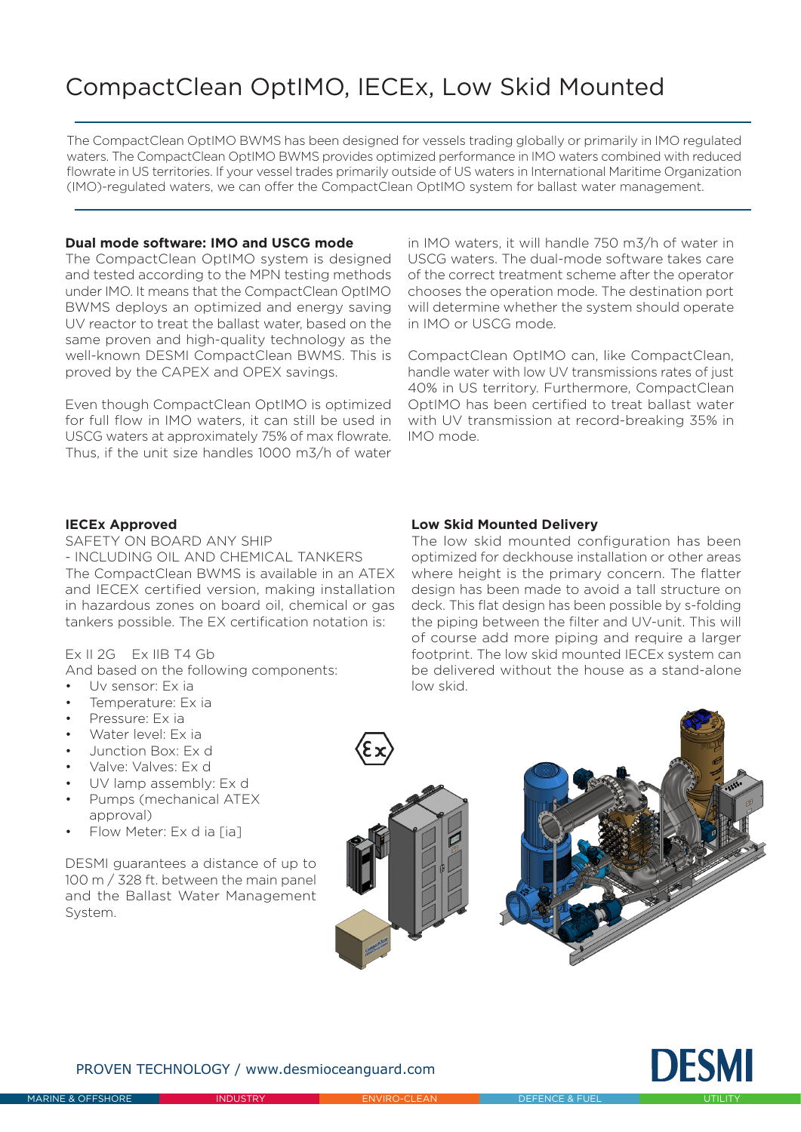# CompactClean OptIMO, IECEx, Low Skid Mounted

The CompactClean OptIMO BWMS has been designed for vessels trading globally or primarily in IMO regulated waters. The CompactClean OptIMO BWMS provides optimized performance in IMO waters combined with reduced flowrate in US territories. If your vessel trades primarily outside of US waters in International Maritime Organization (IMO)-regulated waters, we can offer the CompactClean OptIMO system for ballast water management.

### **Dual mode software: IMO and USCG mode**

The CompactClean OptIMO system is designed and tested according to the MPN testing methods under IMO. It means that the CompactClean OptIMO BWMS deploys an optimized and energy saving UV reactor to treat the ballast water, based on the same proven and high-quality technology as the well-known DESMI CompactClean BWMS. This is proved by the CAPEX and OPEX savings.

Even though CompactClean OptIMO is optimized for full flow in IMO waters, it can still be used in USCG waters at approximately 75% of max flowrate. Thus, if the unit size handles 1000 m3/h of water

in IMO waters, it will handle 750 m3/h of water in USCG waters. The dual-mode software takes care of the correct treatment scheme after the operator chooses the operation mode. The destination port will determine whether the system should operate in IMO or USCG mode.

CompactClean OptIMO can, like CompactClean, handle water with low UV transmissions rates of just 40% in US territory. Furthermore, CompactClean OptIMO has been certified to treat ballast water with UV transmission at record-breaking 35% in IMO mode.

#### **IECEx Approved**

SAFETY ON BOARD ANY SHIP - INCLUDING OIL AND CHEMICAL TANKERS The CompactClean BWMS is available in an ATEX and IECEX certified version, making installation in hazardous zones on board oil, chemical or gas tankers possible. The EX certification notation is:

### Ex II 2G Ex IIB T4 Gb

And based on the following components:

- Uv sensor: Ex ia
- Temperature: Ex ia
- Pressure: Ex ia
- Water level: Ex ia
- Junction Box: Ex d
- Valve: Valves: Ex d
- UV lamp assembly: Ex d
- Pumps (mechanical ATEX approval)
- Flow Meter: Ex d ia [ia]

DESMI guarantees a distance of up to 100 m / 328 ft. between the main panel and the Ballast Water Management System.

## **Low Skid Mounted Delivery**

The low skid mounted configuration has been optimized for deckhouse installation or other areas where height is the primary concern. The flatter design has been made to avoid a tall structure on deck. This flat design has been possible by s-folding the piping between the filter and UV-unit. This will of course add more piping and require a larger footprint. The low skid mounted IECEx system can be delivered without the house as a stand-alone low skid.





PROVEN TECHNOLOGY / www.desmioceanguard.com